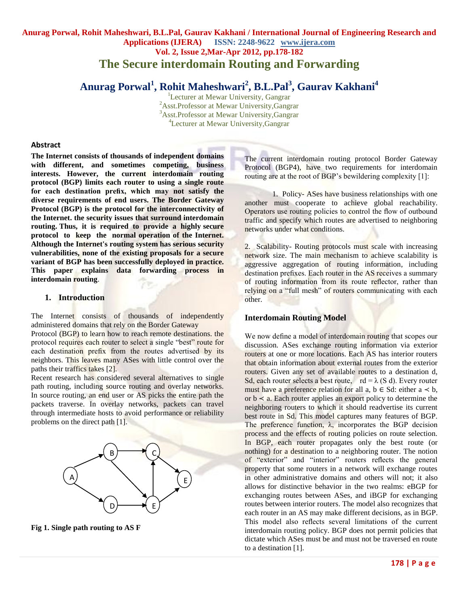# **Anurag Porwal, Rohit Maheshwari, B.L.Pal, Gaurav Kakhani / International Journal of Engineering Research and Applications (IJERA) ISSN: 2248-9622 www.ijera.com Vol. 2, Issue 2,Mar-Apr 2012, pp.178-182 The Secure interdomain Routing and Forwarding**

# **Anurag Porwal<sup>1</sup> , Rohit Maheshwari<sup>2</sup> , B.L.Pal<sup>3</sup> , Gaurav Kakhani<sup>4</sup>**

<sup>1</sup>Lecturer at Mewar University, Gangrar Asst.Professor at Mewar University,Gangrar Asst.Professor at Mewar University,Gangrar Lecturer at Mewar University,Gangrar

#### **Abstract**

**The Internet consists of thousands of independent domains with different, and sometimes competing, business interests. However, the current interdomain routing protocol (BGP) limits each router to using a single route for each destination prefix, which may not satisfy the diverse requirements of end users. The Border Gateway Protocol (BGP) is the protocol for the interconnectivity of the Internet. the security issues that surround interdomain routing. Thus, it is required to provide a highly secure protocol to keep the normal operation of the Internet. Although the Internet's routing system has serious security vulnerabilities, none of the existing proposals for a secure variant of BGP has been successfully deployed in practice. This paper explains data forwarding process in interdomain routing**.

#### **1. Introduction**

The Internet consists of thousands of independently administered domains that rely on the Border Gateway

Protocol (BGP) to learn how to reach remote destinations. the protocol requires each router to select a single "best" route for each destination prefix from the routes advertised by its neighbors. This leaves many ASes with little control over the paths their traffics takes [2].

Recent research has considered several alternatives to single path routing, including source routing and overlay networks. In source routing, an end user or AS picks the entire path the packets traverse. In overlay networks, packets can travel through intermediate hosts to avoid performance or reliability problems on the direct path [1].



**Fig 1. Single path routing to AS F**

The current interdomain routing protocol Border Gateway Protocol (BGP4), have two requirements for interdomain routing are at the root of BGP's bewildering complexity [1]:

1. Policy- ASes have business relationships with one another must cooperate to achieve global reachability. Operators use routing policies to control the flow of outbound traffic and specify which routes are advertised to neighboring networks under what conditions.

2. Scalability- Routing protocols must scale with increasing network size. The main mechanism to achieve scalability is aggressive aggregation of routing information, including destination prefixes. Each router in the AS receives a summary of routing information from its route reflector, rather than relying on a "full mesh" of routers communicating with each other.

## **Interdomain Routing Model**

We now define a model of interdomain routing that scopes our discussion. ASes exchange routing information via exterior routers at one or more locations. Each AS has interior routers that obtain information about external routes from the exterior routers. Given any set of available routes to a destination d, Sd, each router selects a best route,  $rd = \lambda$  (S d). Every router must have a preference relation for all a,  $b \in Sd$ : either  $a \prec b$ , or  $b \prec a$ . Each router applies an export policy to determine the neighboring routers to which it should readvertise its current best route in Sd. This model captures many features of BGP. The preference function, λ, incorporates the BGP decision process and the effects of routing policies on route selection. In BGP, each router propagates only the best route (or nothing) for a destination to a neighboring router. The notion of "exterior" and "interior" routers reflects the general property that some routers in a network will exchange routes in other administrative domains and others will not; it also allows for distinctive behavior in the two realms: eBGP for exchanging routes between ASes, and iBGP for exchanging routes between interior routers. The model also recognizes that each router in an AS may make different decisions, as in BGP. This model also reflects several limitations of the current interdomain routing policy. BGP does not permit policies that dictate which ASes must be and must not be traversed en route to a destination [1].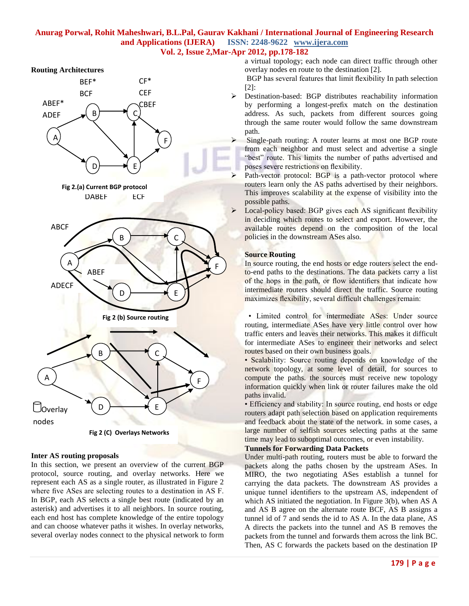#### **Routing Architectures**



**Fig 2 (C) Overlays Networks**

#### **Inter AS routing proposals**

In this section, we present an overview of the current BGP protocol, source routing, and overlay networks. Here we represent each AS as a single router, as illustrated in Figure 2 where five ASes are selecting routes to a destination in AS F. In BGP, each AS selects a single best route (indicated by an asterisk) and advertises it to all neighbors. In source routing, each end host has complete knowledge of the entire topology and can choose whatever paths it wishes. In overlay networks, several overlay nodes connect to the physical network to form

a virtual topology; each node can direct traffic through other overlay nodes en route to the destination [2].

BGP has several features that limit flexibility In path selection [2]:

 Destination-based: BGP distributes reachability information by performing a longest-prefix match on the destination address. As such, packets from different sources going through the same router would follow the same downstream path.

 Single-path routing: A router learns at most one BGP route from each neighbor and must select and advertise a single "best" route. This limits the number of paths advertised and poses severe restrictions on flexibility.

- Path-vector protocol: BGP is a path-vector protocol where routers learn only the AS paths advertised by their neighbors. This improves scalability at the expense of visibility into the possible paths.
- **Example 1** Local-policy based: BGP gives each AS significant flexibility in deciding which routes to select and export. However, the available routes depend on the composition of the local policies in the downstream ASes also.

## **Source Routing**

In source routing, the end hosts or edge routers select the endto-end paths to the destinations. The data packets carry a list of the hops in the path, or flow identifiers that indicate how intermediate routers should direct the traffic. Source routing maximizes flexibility, several difficult challenges remain:

• Limited control for intermediate ASes: Under source routing, intermediate ASes have very little control over how traffic enters and leaves their networks. This makes it difficult for intermediate ASes to engineer their networks and select routes based on their own business goals.

• Scalability: Source routing depends on knowledge of the network topology, at some level of detail, for sources to compute the paths. the sources must receive new topology information quickly when link or router failures make the old paths invalid.

• Efficiency and stability: In source routing, end hosts or edge routers adapt path selection based on application requirements and feedback about the state of the network. in some cases, a large number of selfish sources selecting paths at the same time may lead to suboptimal outcomes, or even instability.

## **Tunnels for Forwarding Data Packets**

Under multi-path routing, routers must be able to forward the packets along the paths chosen by the upstream ASes. In MIRO, the two negotiating ASes establish a tunnel for carrying the data packets. The downstream AS provides a unique tunnel identifiers to the upstream AS, independent of which AS initiated the negotiation. In Figure 3(b), when AS A and AS B agree on the alternate route BCF, AS B assigns a tunnel id of 7 and sends the id to AS A. In the data plane, AS A directs the packets into the tunnel and AS B removes the packets from the tunnel and forwards them across the link BC. Then, AS C forwards the packets based on the destination IP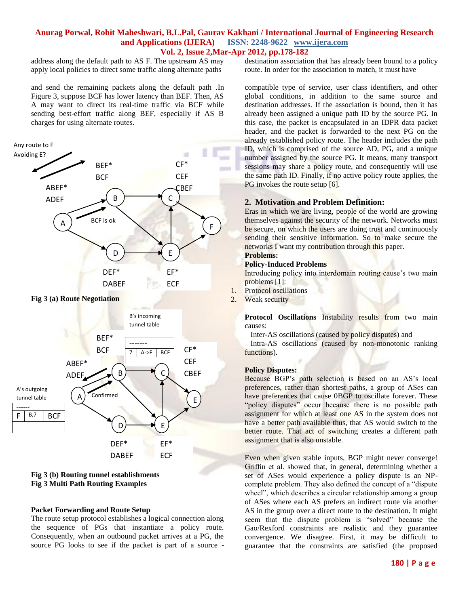address along the default path to AS F. The upstream AS may apply local policies to direct some traffic along alternate paths

and send the remaining packets along the default path .In Figure 3, suppose BCF has lower latency than BEF. Then, AS A may want to direct its real-time traffic via BCF while sending best-effort traffic along BEF, especially if AS B charges for using alternate routes.



**Fig 3 (b) Routing tunnel establishments Fig 3 Multi Path Routing Examples**

#### **Packet Forwarding and Route Setup**

The route setup protocol establishes a logical connection along the sequence of PGs that instantiate a policy route. Consequently, when an outbound packet arrives at a PG, the source PG looks to see if the packet is part of a source -

destination association that has already been bound to a policy route. In order for the association to match, it must have

compatible type of service, user class identifiers, and other global conditions, in addition to the same source and destination addresses. If the association is bound, then it has already been assigned a unique path ID by the source PG. In this case, the packet is encapsulated in an IDPR data packet header, and the packet is forwarded to the next PG on the already established policy route. The header includes the path ID, which is comprised of the source AD, PG, and a unique number assigned by the source PG. It means, many transport sessions may share a policy route, and consequently will use the same path ID. Finally, if no active policy route applies, the PG invokes the route setup [6].

## **2. Motivation and Problem Definition:**

Eras in which we are living, people of the world are growing themselves against the security of the network. Networks must be secure, on which the users are doing trust and continuously sending their sensitive information. So to make secure the networks I want my contribution through this paper.

#### **Problems: Policy-Induced Problems**

Introducing policy into interdomain routing cause's two main problems [1]:

- 1. Protocol oscillations
- 2. Weak security

Protocol Oscillations Instability results from two main causes:

Inter-AS oscillations (caused by policy disputes) and

 Intra-AS oscillations (caused by non-monotonic ranking functions).

#### **Policy Disputes:**

Because BGP's path selection is based on an AS's local preferences, rather than shortest paths, a group of ASes can have preferences that cause 0BGP to oscillate forever. These "policy disputes" occur because there is no possible path assignment for which at least one AS in the system does not have a better path available thus, that AS would switch to the better route. That act of switching creates a different path assignment that is also unstable.

Even when given stable inputs, BGP might never converge! Griffin et al. showed that, in general, determining whether a set of ASes would experience a policy dispute is an NPcomplete problem. They also defined the concept of a "dispute wheel", which describes a circular relationship among a group of ASes where each AS prefers an indirect route via another AS in the group over a direct route to the destination. It might seem that the dispute problem is "solved" because the Gao/Rexford constraints are realistic and they guarantee convergence. We disagree. First, it may be difficult to guarantee that the constraints are satisfied (the proposed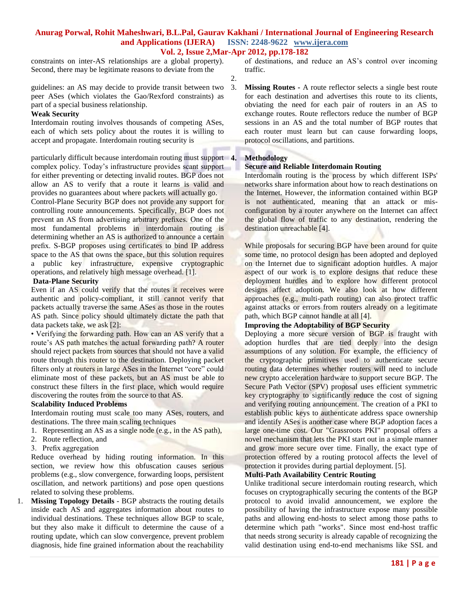2.

constraints on inter-AS relationships are a global property). Second, there may be legitimate reasons to deviate from the

guidelines: an AS may decide to provide transit between two peer ASes (which violates the Gao/Rexford constraints) as part of a special business relationship.

#### **Weak Security**

Interdomain routing involves thousands of competing ASes, each of which sets policy about the routes it is willing to accept and propagate. Interdomain routing security is

particularly difficult because interdomain routing must support complex policy. Today's infrastructure provides scant support for either preventing or detecting invalid routes. BGP does not allow an AS to verify that a route it learns is valid and provides no guarantees about where packets will actually go. Control-Plane Security BGP does not provide any support for controlling route announcements. Specifically, BGP does not prevent an AS from advertising arbitrary prefixes. One of the most fundamental problems in interdomain routing is determining whether an AS is authorized to announce a certain prefix. S-BGP proposes using certificates to bind IP address space to the AS that owns the space, but this solution requires a public key infrastructure, expensive cryptographic operations, and relatively high message overhead. [1].

#### **Data-Plane Security**

Even if an AS could verify that the routes it receives were authentic and policy-compliant, it still cannot verify that packets actually traverse the same ASes as those in the routes AS path. Since policy should ultimately dictate the path that data packets take, we ask [2]:

• Verifying the forwarding path. How can an AS verify that a route's AS path matches the actual forwarding path? A router should reject packets from sources that should not have a valid route through this router to the destination. Deploying packet filters only at routers in large ASes in the Internet "core" could eliminate most of these packets, but an AS must be able to construct these filters in the first place, which would require discovering the routes from the source to that AS.

#### **Scalability Induced Problems**

Interdomain routing must scale too many ASes, routers, and destinations. The three main scaling techniques

- 1. Representing an AS as a single node (e.g., in the AS path),
- 2. Route reflection, and
- 3. Prefix aggregation

Reduce overhead by hiding routing information. In this section, we review how this obfuscation causes serious problems (e.g., slow convergence, forwarding loops, persistent oscillation, and network partitions) and pose open questions related to solving these problems.

1. **Missing Topology Details** - BGP abstracts the routing details inside each AS and aggregates information about routes to individual destinations. These techniques allow BGP to scale, but they also make it difficult to determine the cause of a routing update, which can slow convergence, prevent problem diagnosis, hide fine grained information about the reachability of destinations, and reduce an AS's control over incoming traffic.

3. **Missing Routes -** A route reflector selects a single best route for each destination and advertises this route to its clients, obviating the need for each pair of routers in an AS to exchange routes. Route reflectors reduce the number of BGP sessions in an AS and the total number of BGP routes that each router must learn but can cause forwarding loops, protocol oscillations, and partitions.

## **4. Methodology**

## **Secure and Reliable Interdomain Routing**

Interdomain routing is the process by which different ISPs' networks share information about how to reach destinations on the Internet. However, the information contained within BGP is not authenticated, meaning that an attack or misconfiguration by a router anywhere on the Internet can affect the global flow of traffic to any destination, rendering the destination unreachable [4].

While proposals for securing BGP have been around for quite some time, no protocol design has been adopted and deployed on the Internet due to significant adoption hurdles. A major aspect of our work is to explore designs that reduce these deployment hurdles and to explore how different protocol designs affect adoption. We also look at how different approaches (e.g., multi-path routing) can also protect traffic against attacks or errors from routers already on a legitimate path, which BGP cannot handle at all [4].

## **Improving the Adoptability of BGP Security**

Deploying a more secure version of BGP is fraught with adoption hurdles that are tied deeply into the design assumptions of any solution. For example, the efficiency of the cryptographic primitives used to authenticate secure routing data determines whether routers will need to include new crypto acceleration hardware to support secure BGP. The Secure Path Vector (SPV) proposal uses efficient symmetric key cryptography to significantly reduce the cost of signing and verifying routing announcement. The creation of a PKI to establish public keys to authenticate address space ownership and identify ASes is another case where BGP adoption faces a large one-time cost. Our "Grassroots PKI" proposal offers a novel mechanism that lets the PKI start out in a simple manner and grow more secure over time. Finally, the exact type of protection offered by a routing protocol affects the level of protection it provides during partial deployment. [5].

## **Multi-Path Availability Centric Routing**

Unlike traditional secure interdomain routing research, which focuses on cryptographically securing the contents of the BGP protocol to avoid invalid announcement, we explore the possibility of having the infrastructure expose many possible paths and allowing end-hosts to select among those paths to determine which path "works". Since most end-host traffic that needs strong security is already capable of recognizing the valid destination using end-to-end mechanisms like SSL and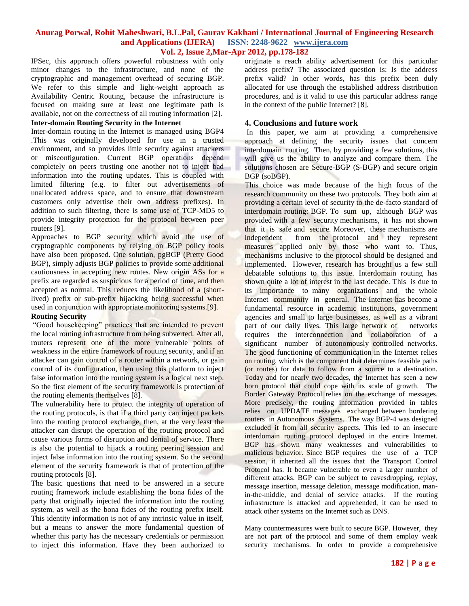IPSec, this approach offers powerful robustness with only minor changes to the infrastructure, and none of the cryptographic and management overhead of securing BGP. We refer to this simple and light-weight approach as Availability Centric Routing, because the infrastructure is focused on making sure at least one legitimate path is available, not on the correctness of all routing information [2].

## **Inter-domain Routing Security in the Internet**

Inter-domain routing in the Internet is managed using BGP4 .This was originally developed for use in a trusted environment, and so provides little security against attackers or misconfiguration. Current BGP operations depend completely on peers trusting one another not to inject bad information into the routing updates. This is coupled with limited filtering (e.g. to filter out advertisements of unallocated address space, and to ensure that downstream customers only advertise their own address prefixes). In addition to such filtering, there is some use of TCP-MD5 to provide integrity protection for the protocol between peer routers [9].

Approaches to BGP security which avoid the use of cryptographic components by relying on BGP policy tools have also been proposed. One solution, pgBGP (Pretty Good BGP), simply adjusts BGP policies to provide some additional cautiousness in accepting new routes. New origin ASs for a prefix are regarded as suspicious for a period of time, and then accepted as normal. This reduces the likelihood of a (shortlived) prefix or sub-prefix hijacking being successful when used in conjunction with appropriate monitoring systems.[9].

## **Routing Security**

"Good housekeeping" practices that are intended to prevent the local routing infrastructure from being subverted. After all, routers represent one of the more vulnerable points of weakness in the entire framework of routing security, and if an attacker can gain control of a router within a network, or gain control of its configuration, then using this platform to inject false information into the routing system is a logical next step. So the first element of the security framework is protection of the routing elements themselves [8].

The vulnerability here to protect the integrity of operation of the routing protocols, is that if a third party can inject packets into the routing protocol exchange, then, at the very least the attacker can disrupt the operation of the routing protocol and cause various forms of disruption and denial of service. There is also the potential to hijack a routing peering session and inject false information into the routing system. So the second element of the security framework is that of protection of the routing protocols [8].

The basic questions that need to be answered in a secure routing framework include establishing the bona fides of the party that originally injected the information into the routing system, as well as the bona fides of the routing prefix itself. This identity information is not of any intrinsic value in itself, but a means to answer the more fundamental question of whether this party has the necessary credentials or permission to inject this information. Have they been authorized to originate a reach ability advertisement for this particular address prefix? The associated question is: Is the address prefix valid? In other words, has this prefix been duly allocated for use through the established address distribution procedures, and is it valid to use this particular address range in the context of the public Internet? [8].

#### **4. Conclusions and future work**

In this paper, we aim at providing a comprehensive approach at defining the security issues that concern interdomain routing. Then, by providing a few solutions, this will give us the ability to analyze and compare them. The solutions chosen are Secure-BGP (S-BGP) and secure origin BGP (soBGP).

This choice was made because of the high focus of the research community on these two protocols. They both aim at providing a certain level of security to the de-facto standard of interdomain routing: BGP. To sum up, although BGP was provided with a few security mechanisms, it has not shown that it is safe and secure. Moreover, these mechanisms are independent from the protocol and they represent measures applied only by those who want to. Thus, mechanisms inclusive to the protocol should be designed and implemented. However, research has brought us a few still debatable solutions to this issue. Interdomain routing has shown quite a lot of interest in the last decade. This is due to its importance to many organizations and the whole Internet community in general. The Internet has become a fundamental resource in academic institutions, government agencies and small to large businesses, as well as a vibrant part of our daily lives. This large network of networks requires the interconnection and collaboration of a significant number of autonomously controlled networks. The good functioning of communication in the Internet relies on routing, which is the component that determines feasible paths (or routes) for data to follow from a source to a destination. Today and for nearly two decades, the Internet has seen a new born protocol that could cope with its scale of growth. The Border Gateway Protocol relies on the exchange of messages. More precisely, the routing information provided in tables relies on UPDATE messages exchanged between bordering routers in Autonomous Systems. The way BGP-4 was designed excluded it from all security aspects. This led to an insecure interdomain routing protocol deployed in the entire Internet. BGP has shown many weaknesses and vulnerabilities to malicious behavior. Since BGP requires the use of a TCP session, it inherited all the issues that the Transport Control Protocol has. It became vulnerable to even a larger number of different attacks. BGP can be subject to eavesdropping, replay, message insertion, message deletion, message modification, manin-the-middle, and denial of service attacks. If the routing infrastructure is attacked and apprehended, it can be used to attack other systems on the Internet such as DNS.

Many countermeasures were built to secure BGP. However, they are not part of the protocol and some of them employ weak security mechanisms. In order to provide a comprehensive